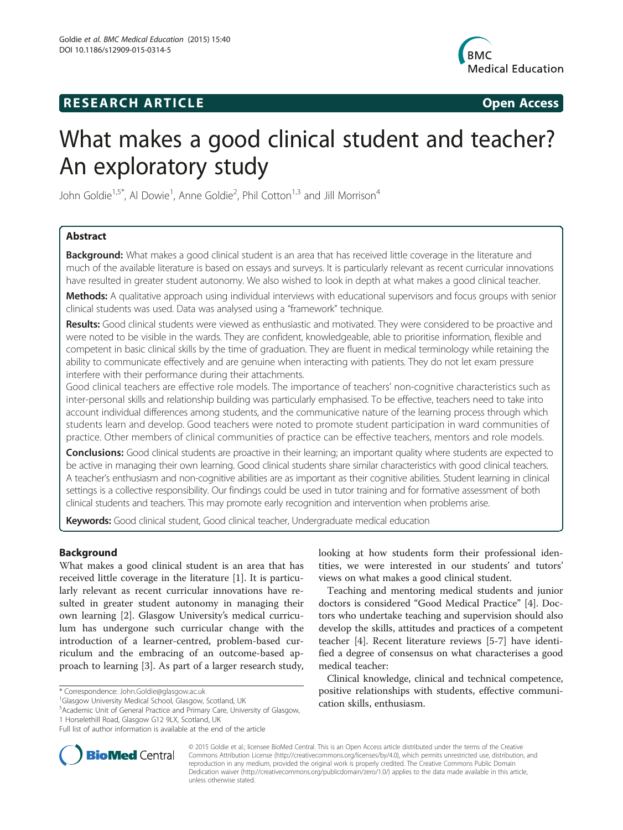## **RESEARCH ARTICLE Example 2014 CONSIDERING CONSIDERING CONSIDERING CONSIDERING CONSIDERING CONSIDERING CONSIDERING CONSIDERING CONSIDERING CONSIDERING CONSIDERING CONSIDERING CONSIDERING CONSIDERING CONSIDERING CONSIDE**



# What makes a good clinical student and teacher? An exploratory study

John Goldie<sup>1,5\*</sup>, Al Dowie<sup>1</sup>, Anne Goldie<sup>2</sup>, Phil Cotton<sup>1,3</sup> and Jill Morrison<sup>4</sup>

## Abstract

Background: What makes a good clinical student is an area that has received little coverage in the literature and much of the available literature is based on essays and surveys. It is particularly relevant as recent curricular innovations have resulted in greater student autonomy. We also wished to look in depth at what makes a good clinical teacher.

Methods: A qualitative approach using individual interviews with educational supervisors and focus groups with senior clinical students was used. Data was analysed using a "framework" technique.

Results: Good clinical students were viewed as enthusiastic and motivated. They were considered to be proactive and were noted to be visible in the wards. They are confident, knowledgeable, able to prioritise information, flexible and competent in basic clinical skills by the time of graduation. They are fluent in medical terminology while retaining the ability to communicate effectively and are genuine when interacting with patients. They do not let exam pressure interfere with their performance during their attachments.

Good clinical teachers are effective role models. The importance of teachers' non-cognitive characteristics such as inter-personal skills and relationship building was particularly emphasised. To be effective, teachers need to take into account individual differences among students, and the communicative nature of the learning process through which students learn and develop. Good teachers were noted to promote student participation in ward communities of practice. Other members of clinical communities of practice can be effective teachers, mentors and role models.

**Conclusions:** Good clinical students are proactive in their learning; an important quality where students are expected to be active in managing their own learning. Good clinical students share similar characteristics with good clinical teachers. A teacher's enthusiasm and non-cognitive abilities are as important as their cognitive abilities. Student learning in clinical settings is a collective responsibility. Our findings could be used in tutor training and for formative assessment of both clinical students and teachers. This may promote early recognition and intervention when problems arise.

Keywords: Good clinical student, Good clinical teacher, Undergraduate medical education

## Background

What makes a good clinical student is an area that has received little coverage in the literature [\[1](#page-7-0)]. It is particularly relevant as recent curricular innovations have resulted in greater student autonomy in managing their own learning [\[2](#page-7-0)]. Glasgow University's medical curriculum has undergone such curricular change with the introduction of a learner-centred, problem-based curriculum and the embracing of an outcome-based approach to learning [\[3](#page-7-0)]. As part of a larger research study,

looking at how students form their professional identities, we were interested in our students' and tutors' views on what makes a good clinical student.

Teaching and mentoring medical students and junior doctors is considered "Good Medical Practice" [[4\]](#page-7-0). Doctors who undertake teaching and supervision should also develop the skills, attitudes and practices of a competent teacher [[4\]](#page-7-0). Recent literature reviews [\[5-7](#page-7-0)] have identified a degree of consensus on what characterises a good medical teacher:

Clinical knowledge, clinical and technical competence, positive relationships with students, effective communication skills, enthusiasm.



© 2015 Goldie et al.; licensee BioMed Central. This is an Open Access article distributed under the terms of the Creative Commons Attribution License [\(http://creativecommons.org/licenses/by/4.0\)](http://creativecommons.org/licenses/by/4.0), which permits unrestricted use, distribution, and reproduction in any medium, provided the original work is properly credited. The Creative Commons Public Domain Dedication waiver [\(http://creativecommons.org/publicdomain/zero/1.0/](http://creativecommons.org/publicdomain/zero/1.0/)) applies to the data made available in this article, unless otherwise stated.

<sup>\*</sup> Correspondence: [John.Goldie@glasgow.ac.uk](mailto:John.Goldie@glasgow.ac.uk) <sup>1</sup>

<sup>&</sup>lt;sup>1</sup>Glasgow University Medical School, Glasgow, Scotland, UK

<sup>5</sup> Academic Unit of General Practice and Primary Care, University of Glasgow, 1 Horselethill Road, Glasgow G12 9LX, Scotland, UK

Full list of author information is available at the end of the article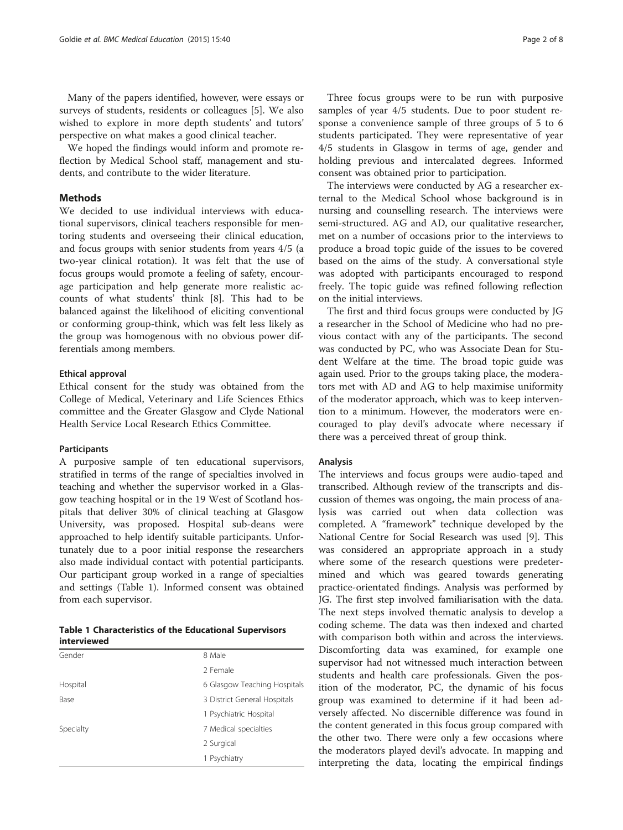Many of the papers identified, however, were essays or surveys of students, residents or colleagues [\[5\]](#page-7-0). We also wished to explore in more depth students' and tutors' perspective on what makes a good clinical teacher.

We hoped the findings would inform and promote reflection by Medical School staff, management and students, and contribute to the wider literature.

## **Methods**

We decided to use individual interviews with educational supervisors, clinical teachers responsible for mentoring students and overseeing their clinical education, and focus groups with senior students from years 4/5 (a two-year clinical rotation). It was felt that the use of focus groups would promote a feeling of safety, encourage participation and help generate more realistic accounts of what students' think [\[8](#page-7-0)]. This had to be balanced against the likelihood of eliciting conventional or conforming group-think, which was felt less likely as the group was homogenous with no obvious power differentials among members.

#### Ethical approval

Ethical consent for the study was obtained from the College of Medical, Veterinary and Life Sciences Ethics committee and the Greater Glasgow and Clyde National Health Service Local Research Ethics Committee.

### Participants

A purposive sample of ten educational supervisors, stratified in terms of the range of specialties involved in teaching and whether the supervisor worked in a Glasgow teaching hospital or in the 19 West of Scotland hospitals that deliver 30% of clinical teaching at Glasgow University, was proposed. Hospital sub-deans were approached to help identify suitable participants. Unfortunately due to a poor initial response the researchers also made individual contact with potential participants. Our participant group worked in a range of specialties and settings (Table 1). Informed consent was obtained from each supervisor.

|             | <b>Table 1 Characteristics of the Educational Supervisors</b> |  |  |
|-------------|---------------------------------------------------------------|--|--|
| interviewed |                                                               |  |  |

| Gender    | 8 Male                       |
|-----------|------------------------------|
|           | 2 Female                     |
| Hospital  | 6 Glasgow Teaching Hospitals |
| Base      | 3 District General Hospitals |
|           | 1 Psychiatric Hospital       |
| Specialty | 7 Medical specialties        |
|           | 2 Surgical                   |
|           | 1 Psychiatry                 |
|           |                              |

Three focus groups were to be run with purposive samples of year 4/5 students. Due to poor student response a convenience sample of three groups of 5 to 6 students participated. They were representative of year 4/5 students in Glasgow in terms of age, gender and holding previous and intercalated degrees. Informed consent was obtained prior to participation.

The interviews were conducted by AG a researcher external to the Medical School whose background is in nursing and counselling research. The interviews were semi-structured. AG and AD, our qualitative researcher, met on a number of occasions prior to the interviews to produce a broad topic guide of the issues to be covered based on the aims of the study. A conversational style was adopted with participants encouraged to respond freely. The topic guide was refined following reflection on the initial interviews.

The first and third focus groups were conducted by JG a researcher in the School of Medicine who had no previous contact with any of the participants. The second was conducted by PC, who was Associate Dean for Student Welfare at the time. The broad topic guide was again used. Prior to the groups taking place, the moderators met with AD and AG to help maximise uniformity of the moderator approach, which was to keep intervention to a minimum. However, the moderators were encouraged to play devil's advocate where necessary if there was a perceived threat of group think.

#### Analysis

The interviews and focus groups were audio-taped and transcribed. Although review of the transcripts and discussion of themes was ongoing, the main process of analysis was carried out when data collection was completed. A "framework" technique developed by the National Centre for Social Research was used [\[9\]](#page-7-0). This was considered an appropriate approach in a study where some of the research questions were predetermined and which was geared towards generating practice-orientated findings. Analysis was performed by JG. The first step involved familiarisation with the data. The next steps involved thematic analysis to develop a coding scheme. The data was then indexed and charted with comparison both within and across the interviews. Discomforting data was examined, for example one supervisor had not witnessed much interaction between students and health care professionals. Given the position of the moderator, PC, the dynamic of his focus group was examined to determine if it had been adversely affected. No discernible difference was found in the content generated in this focus group compared with the other two. There were only a few occasions where the moderators played devil's advocate. In mapping and interpreting the data, locating the empirical findings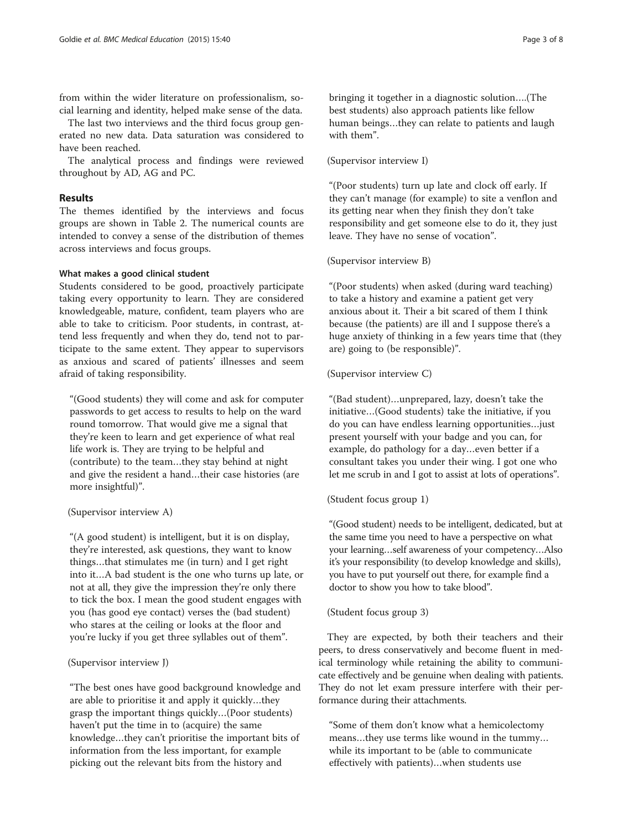from within the wider literature on professionalism, social learning and identity, helped make sense of the data.

The last two interviews and the third focus group generated no new data. Data saturation was considered to have been reached.

The analytical process and findings were reviewed throughout by AD, AG and PC.

## Results

The themes identified by the interviews and focus groups are shown in Table [2.](#page-3-0) The numerical counts are intended to convey a sense of the distribution of themes across interviews and focus groups.

#### What makes a good clinical student

Students considered to be good, proactively participate taking every opportunity to learn. They are considered knowledgeable, mature, confident, team players who are able to take to criticism. Poor students, in contrast, attend less frequently and when they do, tend not to participate to the same extent. They appear to supervisors as anxious and scared of patients' illnesses and seem afraid of taking responsibility.

"(Good students) they will come and ask for computer passwords to get access to results to help on the ward round tomorrow. That would give me a signal that they're keen to learn and get experience of what real life work is. They are trying to be helpful and (contribute) to the team…they stay behind at night and give the resident a hand…their case histories (are more insightful)".

## (Supervisor interview A)

"(A good student) is intelligent, but it is on display, they're interested, ask questions, they want to know things…that stimulates me (in turn) and I get right into it…A bad student is the one who turns up late, or not at all, they give the impression they're only there to tick the box. I mean the good student engages with you (has good eye contact) verses the (bad student) who stares at the ceiling or looks at the floor and you're lucky if you get three syllables out of them".

#### (Supervisor interview J)

"The best ones have good background knowledge and are able to prioritise it and apply it quickly…they grasp the important things quickly…(Poor students) haven't put the time in to (acquire) the same knowledge…they can't prioritise the important bits of information from the less important, for example picking out the relevant bits from the history and

bringing it together in a diagnostic solution….(The best students) also approach patients like fellow human beings…they can relate to patients and laugh with them".

#### (Supervisor interview I)

"(Poor students) turn up late and clock off early. If they can't manage (for example) to site a venflon and its getting near when they finish they don't take responsibility and get someone else to do it, they just leave. They have no sense of vocation".

#### (Supervisor interview B)

"(Poor students) when asked (during ward teaching) to take a history and examine a patient get very anxious about it. Their a bit scared of them I think because (the patients) are ill and I suppose there's a huge anxiety of thinking in a few years time that (they are) going to (be responsible)".

## (Supervisor interview C)

"(Bad student)…unprepared, lazy, doesn't take the initiative…(Good students) take the initiative, if you do you can have endless learning opportunities…just present yourself with your badge and you can, for example, do pathology for a day…even better if a consultant takes you under their wing. I got one who let me scrub in and I got to assist at lots of operations".

## (Student focus group 1)

"(Good student) needs to be intelligent, dedicated, but at the same time you need to have a perspective on what your learning…self awareness of your competency…Also it's your responsibility (to develop knowledge and skills), you have to put yourself out there, for example find a doctor to show you how to take blood".

#### (Student focus group 3)

They are expected, by both their teachers and their peers, to dress conservatively and become fluent in medical terminology while retaining the ability to communicate effectively and be genuine when dealing with patients. They do not let exam pressure interfere with their performance during their attachments.

"Some of them don't know what a hemicolectomy means…they use terms like wound in the tummy… while its important to be (able to communicate effectively with patients)…when students use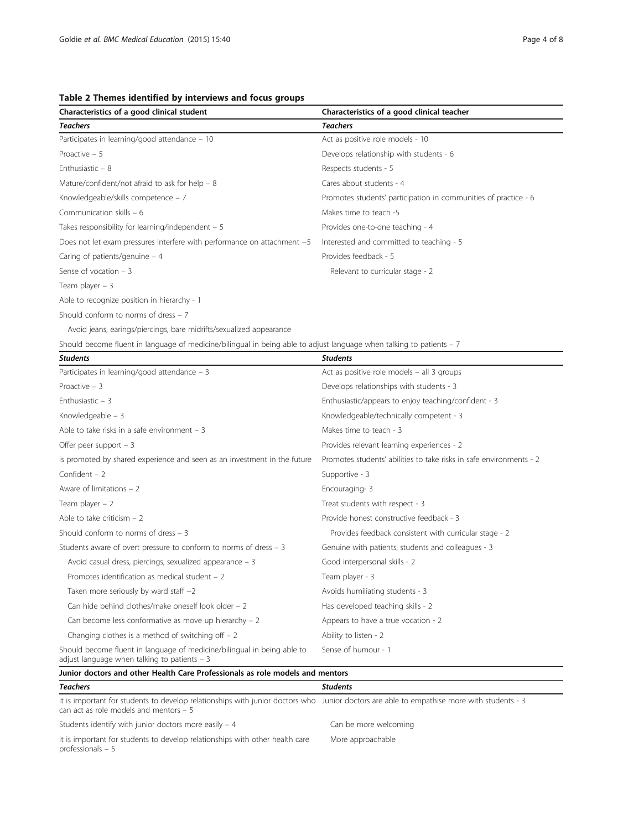## <span id="page-3-0"></span>Table 2 Themes identified by interviews and focus groups

| Characteristics of a good clinical student                                | Characteristics of a good clinical teacher                      |  |
|---------------------------------------------------------------------------|-----------------------------------------------------------------|--|
| <b>Teachers</b>                                                           | <b>Teachers</b>                                                 |  |
| Participates in learning/good attendance - 10                             | Act as positive role models - 10                                |  |
| Proactive $-5$                                                            | Develops relationship with students - 6                         |  |
| Enthusiastic $-8$                                                         | Respects students - 5                                           |  |
| Mature/confident/not afraid to ask for help $-8$                          | Cares about students - 4                                        |  |
| Knowledgeable/skills competence - 7                                       | Promotes students' participation in communities of practice - 6 |  |
| Communication skills $-6$                                                 | Makes time to teach -5                                          |  |
| Takes responsibility for learning/independent $-5$                        | Provides one-to-one teaching - 4                                |  |
| Does not let exam pressures interfere with performance on attachment $-5$ | Interested and committed to teaching - 5                        |  |
| Caring of patients/genuine $-4$                                           | Provides feedback - 5                                           |  |
| Sense of vocation $-3$                                                    | Relevant to curricular stage - 2                                |  |
| Team player $-3$                                                          |                                                                 |  |

Able to recognize position in hierarchy - 1

Should conform to norms of dress – 7

Avoid jeans, earings/piercings, bare midrifts/sexualized appearance

Should become fluent in language of medicine/bilingual in being able to adjust language when talking to patients – 7

| <b>Students</b>                                                                                                          | <b>Students</b>                                                     |  |
|--------------------------------------------------------------------------------------------------------------------------|---------------------------------------------------------------------|--|
| Participates in learning/good attendance - 3                                                                             | Act as positive role models - all 3 groups                          |  |
| Proactive $-3$                                                                                                           | Develops relationships with students - 3                            |  |
| Enthusiastic $-3$                                                                                                        | Enthusiastic/appears to enjoy teaching/confident - 3                |  |
| Knowledgeable - 3                                                                                                        | Knowledgeable/technically competent - 3                             |  |
| Able to take risks in a safe environment $-3$                                                                            | Makes time to teach - 3                                             |  |
| Offer peer support $-3$                                                                                                  | Provides relevant learning experiences - 2                          |  |
| is promoted by shared experience and seen as an investment in the future                                                 | Promotes students' abilities to take risks in safe environments - 2 |  |
| Confident $-2$                                                                                                           | Supportive - 3                                                      |  |
| Aware of limitations $-2$                                                                                                | Encouraging-3                                                       |  |
| Team player $-2$                                                                                                         | Treat students with respect - 3                                     |  |
| Able to take criticism $-2$                                                                                              | Provide honest constructive feedback - 3                            |  |
| Should conform to norms of dress $-3$                                                                                    | Provides feedback consistent with curricular stage - 2              |  |
| Students aware of overt pressure to conform to norms of dress $-3$                                                       | Genuine with patients, students and colleagues - 3                  |  |
| Avoid casual dress, piercings, sexualized appearance - 3                                                                 | Good interpersonal skills - 2                                       |  |
| Promotes identification as medical student - 2                                                                           | Team player - 3                                                     |  |
| Taken more seriously by ward staff $-2$                                                                                  | Avoids humiliating students - 3                                     |  |
| Can hide behind clothes/make oneself look older - 2                                                                      | Has developed teaching skills - 2                                   |  |
| Can become less conformative as move up hierarchy $-2$                                                                   | Appears to have a true vocation - 2                                 |  |
| Changing clothes is a method of switching of $f - 2$                                                                     | Ability to listen - 2                                               |  |
| Should become fluent in language of medicine/bilingual in being able to<br>adjust language when talking to patients $-3$ | Sense of humour - 1                                                 |  |

| Junior doctors and other Health Care Professionals as role models and mentors                                                                                                        |                       |  |  |
|--------------------------------------------------------------------------------------------------------------------------------------------------------------------------------------|-----------------------|--|--|
| <b>Teachers</b>                                                                                                                                                                      | <b>Students</b>       |  |  |
| It is important for students to develop relationships with junior doctors who Junior doctors are able to empathise more with students - 3<br>can act as role models and mentors $-5$ |                       |  |  |
| Students identify with junior doctors more easily - 4                                                                                                                                | Can be more welcoming |  |  |
| It is important for students to develop relationships with other health care<br>professionals $-5$                                                                                   | More approachable     |  |  |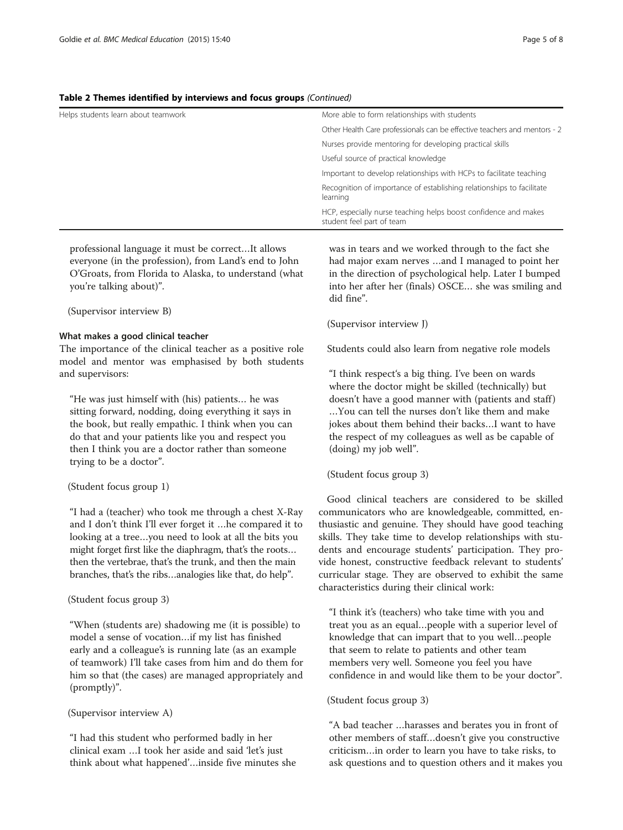Table 2 Themes identified by interviews and focus groups (Continued)

| Helps students learn about teamwork | More able to form relationships with students                                                |
|-------------------------------------|----------------------------------------------------------------------------------------------|
|                                     | Other Health Care professionals can be effective teachers and mentors - 2                    |
|                                     | Nurses provide mentoring for developing practical skills                                     |
|                                     | Useful source of practical knowledge                                                         |
|                                     | Important to develop relationships with HCPs to facilitate teaching                          |
|                                     | Recognition of importance of establishing relationships to facilitate<br>learning            |
|                                     | HCP, especially nurse teaching helps boost confidence and makes<br>student feel part of team |

professional language it must be correct…It allows everyone (in the profession), from Land's end to John O'Groats, from Florida to Alaska, to understand (what you're talking about)".

(Supervisor interview B)

#### What makes a good clinical teacher

The importance of the clinical teacher as a positive role model and mentor was emphasised by both students and supervisors:

"He was just himself with (his) patients… he was sitting forward, nodding, doing everything it says in the book, but really empathic. I think when you can do that and your patients like you and respect you then I think you are a doctor rather than someone trying to be a doctor".

## (Student focus group 1)

"I had a (teacher) who took me through a chest X-Ray and I don't think I'll ever forget it …he compared it to looking at a tree…you need to look at all the bits you might forget first like the diaphragm, that's the roots… then the vertebrae, that's the trunk, and then the main branches, that's the ribs…analogies like that, do help".

## (Student focus group 3)

"When (students are) shadowing me (it is possible) to model a sense of vocation…if my list has finished early and a colleague's is running late (as an example of teamwork) I'll take cases from him and do them for him so that (the cases) are managed appropriately and (promptly)".

(Supervisor interview A)

"I had this student who performed badly in her clinical exam …I took her aside and said 'let's just think about what happened'…inside five minutes she was in tears and we worked through to the fact she had major exam nerves …and I managed to point her in the direction of psychological help. Later I bumped into her after her (finals) OSCE… she was smiling and did fine".

(Supervisor interview J)

Students could also learn from negative role models

"I think respect's a big thing. I've been on wards where the doctor might be skilled (technically) but doesn't have a good manner with (patients and staff) …You can tell the nurses don't like them and make jokes about them behind their backs…I want to have the respect of my colleagues as well as be capable of (doing) my job well".

## (Student focus group 3)

Good clinical teachers are considered to be skilled communicators who are knowledgeable, committed, enthusiastic and genuine. They should have good teaching skills. They take time to develop relationships with students and encourage students' participation. They provide honest, constructive feedback relevant to students' curricular stage. They are observed to exhibit the same characteristics during their clinical work:

"I think it's (teachers) who take time with you and treat you as an equal…people with a superior level of knowledge that can impart that to you well…people that seem to relate to patients and other team members very well. Someone you feel you have confidence in and would like them to be your doctor".

## (Student focus group 3)

"A bad teacher …harasses and berates you in front of other members of staff…doesn't give you constructive criticism…in order to learn you have to take risks, to ask questions and to question others and it makes you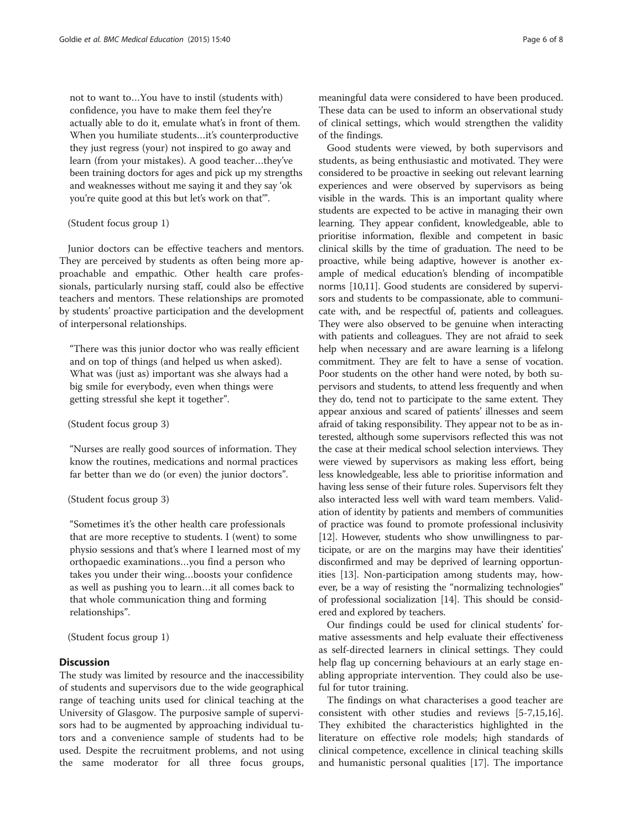not to want to…You have to instil (students with) confidence, you have to make them feel they're actually able to do it, emulate what's in front of them. When you humiliate students…it's counterproductive they just regress (your) not inspired to go away and learn (from your mistakes). A good teacher…they've been training doctors for ages and pick up my strengths and weaknesses without me saying it and they say 'ok you're quite good at this but let's work on that'".

#### (Student focus group 1)

Junior doctors can be effective teachers and mentors. They are perceived by students as often being more approachable and empathic. Other health care professionals, particularly nursing staff, could also be effective teachers and mentors. These relationships are promoted by students' proactive participation and the development of interpersonal relationships.

"There was this junior doctor who was really efficient and on top of things (and helped us when asked). What was (just as) important was she always had a big smile for everybody, even when things were getting stressful she kept it together".

#### (Student focus group 3)

"Nurses are really good sources of information. They know the routines, medications and normal practices far better than we do (or even) the junior doctors".

## (Student focus group 3)

"Sometimes it's the other health care professionals that are more receptive to students. I (went) to some physio sessions and that's where I learned most of my orthopaedic examinations…you find a person who takes you under their wing…boosts your confidence as well as pushing you to learn…it all comes back to that whole communication thing and forming relationships".

(Student focus group 1)

## **Discussion**

The study was limited by resource and the inaccessibility of students and supervisors due to the wide geographical range of teaching units used for clinical teaching at the University of Glasgow. The purposive sample of supervisors had to be augmented by approaching individual tutors and a convenience sample of students had to be used. Despite the recruitment problems, and not using the same moderator for all three focus groups,

meaningful data were considered to have been produced. These data can be used to inform an observational study of clinical settings, which would strengthen the validity of the findings.

Good students were viewed, by both supervisors and students, as being enthusiastic and motivated. They were considered to be proactive in seeking out relevant learning experiences and were observed by supervisors as being visible in the wards. This is an important quality where students are expected to be active in managing their own learning. They appear confident, knowledgeable, able to prioritise information, flexible and competent in basic clinical skills by the time of graduation. The need to be proactive, while being adaptive, however is another example of medical education's blending of incompatible norms [\[10,11](#page-7-0)]. Good students are considered by supervisors and students to be compassionate, able to communicate with, and be respectful of, patients and colleagues. They were also observed to be genuine when interacting with patients and colleagues. They are not afraid to seek help when necessary and are aware learning is a lifelong commitment. They are felt to have a sense of vocation. Poor students on the other hand were noted, by both supervisors and students, to attend less frequently and when they do, tend not to participate to the same extent. They appear anxious and scared of patients' illnesses and seem afraid of taking responsibility. They appear not to be as interested, although some supervisors reflected this was not the case at their medical school selection interviews. They were viewed by supervisors as making less effort, being less knowledgeable, less able to prioritise information and having less sense of their future roles. Supervisors felt they also interacted less well with ward team members. Validation of identity by patients and members of communities of practice was found to promote professional inclusivity [[12](#page-7-0)]. However, students who show unwillingness to participate, or are on the margins may have their identities' disconfirmed and may be deprived of learning opportunities [\[13](#page-7-0)]. Non-participation among students may, however, be a way of resisting the "normalizing technologies" of professional socialization [\[14](#page-7-0)]. This should be considered and explored by teachers.

Our findings could be used for clinical students' formative assessments and help evaluate their effectiveness as self-directed learners in clinical settings. They could help flag up concerning behaviours at an early stage enabling appropriate intervention. They could also be useful for tutor training.

The findings on what characterises a good teacher are consistent with other studies and reviews [[5-7,15,16](#page-7-0)]. They exhibited the characteristics highlighted in the literature on effective role models; high standards of clinical competence, excellence in clinical teaching skills and humanistic personal qualities [[17\]](#page-7-0). The importance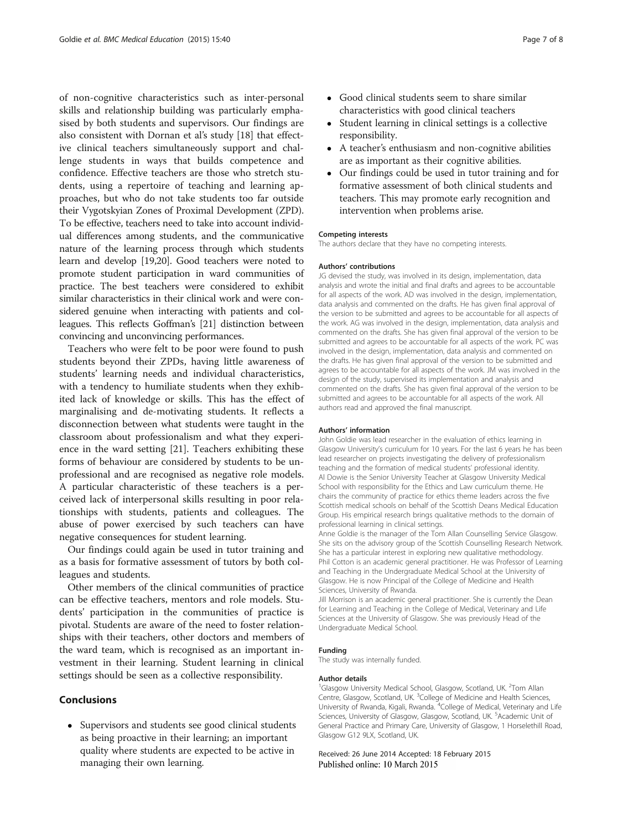of non-cognitive characteristics such as inter-personal skills and relationship building was particularly emphasised by both students and supervisors. Our findings are also consistent with Dornan et al's study [[18](#page-7-0)] that effective clinical teachers simultaneously support and challenge students in ways that builds competence and confidence. Effective teachers are those who stretch students, using a repertoire of teaching and learning approaches, but who do not take students too far outside their Vygotskyian Zones of Proximal Development (ZPD). To be effective, teachers need to take into account individual differences among students, and the communicative nature of the learning process through which students learn and develop [\[19,20](#page-7-0)]. Good teachers were noted to promote student participation in ward communities of practice. The best teachers were considered to exhibit similar characteristics in their clinical work and were considered genuine when interacting with patients and colleagues. This reflects Goffman's [\[21\]](#page-7-0) distinction between convincing and unconvincing performances.

Teachers who were felt to be poor were found to push students beyond their ZPDs, having little awareness of students' learning needs and individual characteristics, with a tendency to humiliate students when they exhibited lack of knowledge or skills. This has the effect of marginalising and de-motivating students. It reflects a disconnection between what students were taught in the classroom about professionalism and what they experience in the ward setting [[21](#page-7-0)]. Teachers exhibiting these forms of behaviour are considered by students to be unprofessional and are recognised as negative role models. A particular characteristic of these teachers is a perceived lack of interpersonal skills resulting in poor relationships with students, patients and colleagues. The abuse of power exercised by such teachers can have negative consequences for student learning.

Our findings could again be used in tutor training and as a basis for formative assessment of tutors by both colleagues and students.

Other members of the clinical communities of practice can be effective teachers, mentors and role models. Students' participation in the communities of practice is pivotal. Students are aware of the need to foster relationships with their teachers, other doctors and members of the ward team, which is recognised as an important investment in their learning. Student learning in clinical settings should be seen as a collective responsibility.

## Conclusions

 Supervisors and students see good clinical students as being proactive in their learning; an important quality where students are expected to be active in managing their own learning.

- Good clinical students seem to share similar characteristics with good clinical teachers
- Student learning in clinical settings is a collective responsibility.
- A teacher's enthusiasm and non-cognitive abilities are as important as their cognitive abilities.
- Our findings could be used in tutor training and for formative assessment of both clinical students and teachers. This may promote early recognition and intervention when problems arise.

#### Competing interests

The authors declare that they have no competing interests.

#### Authors' contributions

JG devised the study, was involved in its design, implementation, data analysis and wrote the initial and final drafts and agrees to be accountable for all aspects of the work. AD was involved in the design, implementation, data analysis and commented on the drafts. He has given final approval of the version to be submitted and agrees to be accountable for all aspects of the work. AG was involved in the design, implementation, data analysis and commented on the drafts. She has given final approval of the version to be submitted and agrees to be accountable for all aspects of the work. PC was involved in the design, implementation, data analysis and commented on the drafts. He has given final approval of the version to be submitted and agrees to be accountable for all aspects of the work. JM was involved in the design of the study, supervised its implementation and analysis and commented on the drafts. She has given final approval of the version to be submitted and agrees to be accountable for all aspects of the work. All authors read and approved the final manuscript.

#### Authors' information

John Goldie was lead researcher in the evaluation of ethics learning in Glasgow University's curriculum for 10 years. For the last 6 years he has been lead researcher on projects investigating the delivery of professionalism teaching and the formation of medical students' professional identity. Al Dowie is the Senior University Teacher at Glasgow University Medical School with responsibility for the Ethics and Law curriculum theme. He chairs the community of practice for ethics theme leaders across the five Scottish medical schools on behalf of the Scottish Deans Medical Education Group. His empirical research brings qualitative methods to the domain of professional learning in clinical settings.

Anne Goldie is the manager of the Tom Allan Counselling Service Glasgow. She sits on the advisory group of the Scottish Counselling Research Network. She has a particular interest in exploring new qualitative methodology. Phil Cotton is an academic general practitioner. He was Professor of Learning and Teaching in the Undergraduate Medical School at the University of Glasgow. He is now Principal of the College of Medicine and Health Sciences, University of Rwanda.

Jill Morrison is an academic general practitioner. She is currently the Dean for Learning and Teaching in the College of Medical, Veterinary and Life Sciences at the University of Glasgow. She was previously Head of the Undergraduate Medical School.

#### Funding

The study was internally funded.

#### Author details

<sup>1</sup>Glasgow University Medical School, Glasgow, Scotland, UK. <sup>2</sup>Tom Allan Centre, Glasgow, Scotland, UK. <sup>3</sup>College of Medicine and Health Sciences,<br>University of Rwanda, Kigali, Rwanda. <sup>4</sup>College of Medical, Veterinary and Life Sciences, University of Glasgow, Glasgow, Scotland, UK. <sup>5</sup>Academic Unit of General Practice and Primary Care, University of Glasgow, 1 Horselethill Road, Glasgow G12 9LX, Scotland, UK.

Received: 26 June 2014 Accepted: 18 February 2015 Published online: 10 March 2015